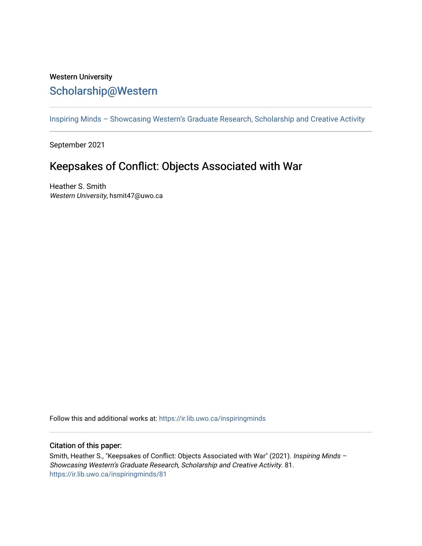## Western University [Scholarship@Western](https://ir.lib.uwo.ca/)

[Inspiring Minds – Showcasing Western's Graduate Research, Scholarship and Creative Activity](https://ir.lib.uwo.ca/inspiringminds) 

September 2021

## Keepsakes of Conflict: Objects Associated with War

Heather S. Smith Western University, hsmit47@uwo.ca

Follow this and additional works at: [https://ir.lib.uwo.ca/inspiringminds](https://ir.lib.uwo.ca/inspiringminds?utm_source=ir.lib.uwo.ca%2Finspiringminds%2F81&utm_medium=PDF&utm_campaign=PDFCoverPages) 

## Citation of this paper:

Smith, Heather S., "Keepsakes of Conflict: Objects Associated with War" (2021). Inspiring Minds -Showcasing Western's Graduate Research, Scholarship and Creative Activity. 81. [https://ir.lib.uwo.ca/inspiringminds/81](https://ir.lib.uwo.ca/inspiringminds/81?utm_source=ir.lib.uwo.ca%2Finspiringminds%2F81&utm_medium=PDF&utm_campaign=PDFCoverPages)